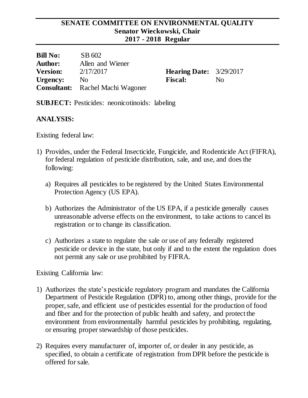#### **SENATE COMMITTEE ON ENVIRONMENTAL QUALITY Senator Wieckowski, Chair 2017 - 2018 Regular**

| <b>Bill No:</b> | SB 602                                  |                          |    |
|-----------------|-----------------------------------------|--------------------------|----|
| <b>Author:</b>  | Allen and Wiener                        |                          |    |
| <b>Version:</b> | 2/17/2017                               | <b>Hearing Date:</b> 3/2 |    |
| Urgency:        | N <sub>0</sub>                          | <b>Fiscal:</b>           | No |
|                 | <b>Consultant:</b> Rachel Machi Wagoner |                          |    |

**Hearing Date:** 3/29/2017

**SUBJECT:** Pesticides: neonicotinoids: labeling

### **ANALYSIS:**

Existing federal law:

- 1) Provides, under the Federal Insecticide, Fungicide, and Rodenticide Act (FIFRA), for federal regulation of pesticide distribution, sale, and use, and does the following:
	- a) Requires all pesticides to be registered by the United States Environmental Protection Agency (US EPA).
	- b) Authorizes the Administrator of the US EPA, if a pesticide generally causes unreasonable adverse effects on the environment, to take actions to cancel its registration or to change its classification.
	- c) Authorizes a state to regulate the sale or use of any federally registered pesticide or device in the state, but only if and to the extent the regulation does not permit any sale or use prohibited by FIFRA.

Existing California law:

- 1) Authorizes the state's pesticide regulatory program and mandates the California Department of Pesticide Regulation (DPR) to, among other things, provide for the proper, safe, and efficient use of pesticides essential for the production of food and fiber and for the protection of public health and safety, and protect the environment from environmentally harmful pesticides by prohibiting, regulating, or ensuring proper stewardship of those pesticides.
- 2) Requires every manufacturer of, importer of, or dealer in any pesticide, as specified, to obtain a certificate of registration from DPR before the pesticide is offered for sale.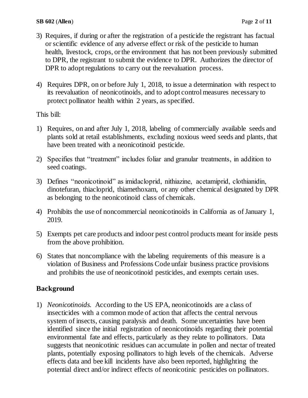- 3) Requires, if during or after the registration of a pesticide the registrant has factual or scientific evidence of any adverse effect or risk of the pesticide to human health, livestock, crops, or the environment that has not been previously submitted to DPR, the registrant to submit the evidence to DPR. Authorizes the director of DPR to adopt regulations to carry out the reevaluation process.
- 4) Requires DPR, on or before July 1, 2018, to issue a determination with respect to its reevaluation of neonicotinoids, and to adopt control measures necessary to protect pollinator health within 2 years, as specified.

This bill:

- 1) Requires, on and after July 1, 2018, labeling of commercially available seeds and plants sold at retail establishments, excluding noxious weed seeds and plants, that have been treated with a neonicotinoid pesticide.
- 2) Specifies that "treatment" includes foliar and granular treatments, in addition to seed coatings.
- 3) Defines "neonicotinoid" as imidacloprid, nithiazine, acetamiprid, clothianidin, dinotefuran, thiacloprid, thiamethoxam, or any other chemical designated by DPR as belonging to the neonicotinoid class of chemicals.
- 4) Prohibits the use of noncommercial neonicotinoids in California as of January 1, 2019.
- 5) Exempts pet care products and indoor pest control products meant for inside pests from the above prohibition.
- 6) States that noncompliance with the labeling requirements of this measure is a violation of Business and Professions Code unfair business practice provisions and prohibits the use of neonicotinoid pesticides, and exempts certain uses.

# **Background**

1) *Neonicotinoids.* According to the US EPA, neonicotinoids are a class of insecticides with a common mode of action that affects the central nervous system of insects, causing paralysis and death. Some uncertainties have been identified since the initial registration of neonicotinoids regarding their potential environmental fate and effects, particularly as they relate to pollinators. Data suggests that neonicotinic residues can accumulate in pollen and nectar of treated plants, potentially exposing pollinators to high levels of the chemicals. Adverse effects data and bee kill incidents have also been reported, highlighting the potential direct and/or indirect effects of neonicotinic pesticides on pollinators.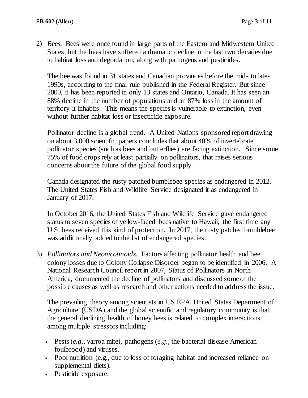2) *Bees.* Bees were once found in large parts of the Eastern and Midwestern United States*,* but the bees have suffered a dramatic decline in the last two decades due to habitat loss and degradation, along with pathogens and pesticides.

The bee was found in 31 states and Canadian provinces before the mid- to late-1990s, according to [the final rule published in the Federal Register.](https://www.gpo.gov/fdsys/pkg/FR-2016-09-22/pdf/2016-22799.pdf) But since 2000, it has been reported in only 13 states and Ontario, Canada. It has seen an 88% decline in the number of populations and an 87% loss in the amount of territory it inhabits. This means the species is vulnerable to extinction, even without further habitat loss or insecticide exposure.

Pollinator decline is a global trend. A United Nations sponsored report drawing on about 3,000 scientific papers concludes that about 40% of invertebrate pollinator species (such as bees and butterflies) are facing extinction. Since some 75% of food crops rely at least partially on pollinators, that raises serious concerns about the future of the global food supply.

Canada designated the rusty patched bumblebee species as endangered in 2012. The United States Fish and Wildlife Service designated it as endangered in January of 2017.

In October 2016, the United States Fish and Wildlife Service [gave endangered](http://www.npr.org/sections/thetwo-way/2016/10/03/496402620/bee-species-added-to-u-s-endangered-species-list-for-1st-time)  [status](http://www.npr.org/sections/thetwo-way/2016/10/03/496402620/bee-species-added-to-u-s-endangered-species-list-for-1st-time) to seven species of yellow-faced bees native to Hawaii, the first time any U.S. bees received this kind of protection. In 2017, the rusty patched bumblebee was additionally added to the list of endangered species.

3) *Pollinators and Neonicotinoids.* Factors affecting pollinator health and bee colony losses due to [Colony Collapse Disorder](https://www.epa.gov/pollinator-protection/colony-collapse-disorder) began to be identified in 2006. A National Research Council report in 2007, [Status of Pollinators in North](http://dels.nas.edu/Report/Status-Pollinators-North-America/11761)  [America,](http://dels.nas.edu/Report/Status-Pollinators-North-America/11761) documented the decline of pollinators and discussed some of the possible causes as well as research and other actions needed to address the issue.

The prevailing theory among scientists in US EPA, United States Department of Agriculture (USDA) and the global scientific and regulatory community is that the general declining health of honey bees is related to complex interactions among multiple stressors including:

- Pests (*e.g*., varroa mite), pathogens (*e.g.,* the bacterial disease American foulbrood) and viruses.
- Poor nutrition (e.g., due to loss of foraging habitat and increased reliance on supplemental diets).
- Pesticide exposure.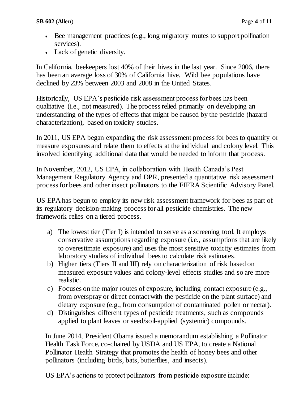- Bee management practices (e.g., long migratory routes to support pollination services).
- Lack of genetic diversity.

In California, beekeepers lost 40% of their hives in the last year. Since 2006, there has been an average loss of 30% of California hive. Wild bee populations have declined by 23% between 2003 and 2008 in the United States.

Historically, US EPA's pesticide risk assessment process for bees has been qualitative (i.e., not measured). The process relied primarily on developing an understanding of the types of effects that might be caused by the pesticide (hazard characterization), based on toxicity studies.

In 2011, US EPA began expanding the risk assessment process for bees to quantify or measure exposures and relate them to effects at the individual and colony level. This involved identifying additional data that would be needed to inform that process.

In November, 2012, US EPA, in collaboration with Health Canada's Pest Management Regulatory Agency and DPR, presented a quantitative risk assessment process for bees and other insect pollinators to the [FIFRA Scientific Advisory Panel.](https://www.epa.gov/sap/meeting-materials-september-11-14-2012-scientific-advisory-panel)

US EPA has begun to employ its new risk assessment framework for bees as part of its regulatory decision-making process for all pesticide chemistries. The new framework relies on a tiered process.

- a) The lowest tier (Tier I) is intended to serve as a screening tool. It employs conservative assumptions regarding exposure (i.e., assumptions that are likely to overestimate exposure) and uses the most sensitive toxicity estimates from laboratory studies of individual bees to calculate risk estimates.
- b) Higher tiers (Tiers II and III) rely on characterization of risk based on measured exposure values and colony-level effects studies and so are more realistic.
- c) Focuses on the major routes of exposure, including contact exposure (e.g., from overspray or direct contact with the pesticide on the plant surface) and dietary exposure (e.g., from consumption of contaminated pollen or nectar).
- d) Distinguishes different types of pesticide treatments, such as compounds applied to plant leaves or seed/soil-applied (systemic) compounds.

In June 2014, [President Obama issued a memorandum establishing a Pollinator](https://www.whitehouse.gov/the-press-office/2014/06/20/presidential-memorandum-creating-federal-strategy-promote-health-honey-b)  [Health Task Force,](https://www.whitehouse.gov/the-press-office/2014/06/20/presidential-memorandum-creating-federal-strategy-promote-health-honey-b) co-chaired by USDA and US EPA, to create a National Pollinator Health Strategy that promotes the health of honey bees and other pollinators (including birds, bats, butterflies, and insects).

US EPA's actions to protect pollinators from pesticide exposure include: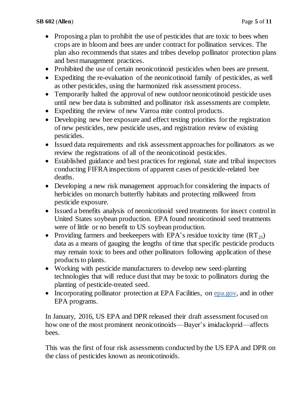- Proposing a plan to prohibit the use of pesticides that are toxic to bees when crops are in bloom and bees are under contract for pollination services. The plan also recommends that states and tribes develop pollinator protection plans and best management practices.
- Prohibited the use of certain neonicotinoid pesticides when bees are present.
- Expediting the re-evaluation of the neonicotinoid family of pesticides, as well as other pesticides, using the harmonized risk assessment process.
- Temporarily halted the approval of new outdoor neonicotinoid pesticide uses until new bee data is submitted and pollinator risk assessments are complete.
- Expediting the review of new Varroa mite control products.
- Developing new bee exposure and effect testing priorities for the registration of new pesticides, new pesticide uses, and registration review of existing pesticides.
- Issued data requirements and risk assessment approaches for pollinators as we review the registrations of all of the neonicotinoid pesticides.
- Established guidance and best practices for regional, state and tribal inspectors conducting FIFRA inspections of apparent cases of pesticide-related bee deaths.
- Developing a new risk management approach for considering the impacts of herbicides on monarch butterfly habitats and protecting milkweed from pesticide exposure.
- Issued a benefits analysis of neonicotinoid seed treatments for insect control in United States soybean production. EPA found neonicotinoid seed treatments were of little or no benefit to US soybean production.
- Providing farmers and beekeepers with EPA's residue toxicity time  $(RT_{25})$ data as a means of gauging the lengths of time that specific pesticide products may remain toxic to bees and other pollinators following application of these products to plants.
- Working with pesticide manufacturers to develop new seed-planting technologies that will reduce dust that may be toxic to pollinators during the planting of pesticide-treated seed.
- Incorporating pollinator protection at EPA Facilities, on [epa.gov,](https://www3.epa.gov/) and in other EPA programs.

In January, 2016, US EPA and DPR released their draft assessment focused on how one of the most prominent neonicotinoids—Bayer's imidacloprid—affects bees.

This was the first of four [risk assessments](http://www.cdpr.ca.gov/docs/emon/surfwtr/presentations/epa_whitepaper.pdf) conducted by the US EPA and DPR on the class of pesticides known as neonicotinoids.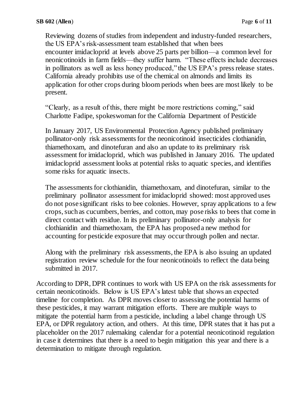Reviewing dozens of studies from independent and industry-funded researchers, the US EPA's risk-assessment team established that when bees encounter imidacloprid at levels above 25 parts per billion—a common level for neonicotinoids in farm fields—they suffer harm. "These effects include decreases in pollinators as well as less honey produced," the US EPA's [press release](http://yosemite.epa.gov/opa/admpress.nsf/eeffe922a687433c85257359003f5340/63e7fb0e47b1aa3685257f320050a7e3!OpenDocument) states. California already prohibits use of the chemical on almonds and limits its application for other crops during bloom periods when bees are most likely to be present.

"Clearly, as a result of this, there might be more restrictions coming," said Charlotte Fadipe, spokeswoman for the California Department of Pesticide

In January 2017, US Environmental Protection Agency published preliminary pollinator-only risk assessments for the neonicotinoid insecticides clothianidin, thiamethoxam, and dinotefuran and also an update to its preliminary risk assessment for imidacloprid, which was published in January 2016. The updated imidacloprid assessment looks at potential risks to aquatic species, and identifies some risks for aquatic insects.

The assessments for clothianidin, thiamethoxam, and dinotefuran, similar to the preliminary pollinator assessment for imidacloprid showed: most approved uses do not pose significant risks to bee colonies. However, spray applications to a few crops, such as cucumbers, berries, and cotton, may pose risks to bees that come in direct contact with residue. In its preliminary pollinator-only analysis for clothianidin and thiamethoxam, the EPA has proposed a new method for accounting for pesticide exposure that may occur through pollen and nectar.

Along with the preliminary risk assessments, the EPA is also issuing an updated registration review schedule for the four neonicotinoids to reflect the data being submitted in 2017.

According to DPR, DPR continues to work with US EPA on the risk assessments for certain neonicotinoids. Below is US EPA's latest table that shows an expected timeline for completion. As DPR moves closer to assessing the potential harms of these pesticides, it may warrant mitigation efforts. There are multiple ways to mitigate the potential harm from a pesticide, including a label change through US EPA, or DPR regulatory action, and others. At this time, DPR states that it has put a placeholder on the 2017 rulemaking calendar for a potential neonicotinoid regulation in case it determines that there is a need to begin mitigation this year and there is a determination to mitigate through regulation.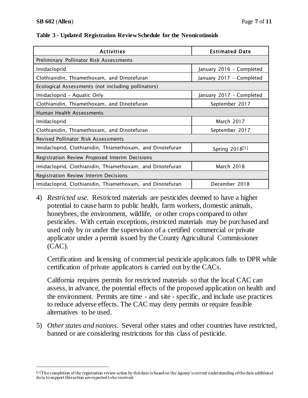$\overline{a}$ 

| <b>Activities</b>                                         | <b>Estimated Date</b>      |  |  |
|-----------------------------------------------------------|----------------------------|--|--|
| Preliminary Pollinator Risk Assessments                   |                            |  |  |
| Imidacloprid                                              | January 2016 - Completed   |  |  |
| Clothianidin, Thiamethoxam, and Dinotefuran               | January 2017 - Completed   |  |  |
| Ecological Assessments (not including pollinators)        |                            |  |  |
| Imidacloprid - Aquatic Only                               | January 2017 - Completed   |  |  |
| Clothianidin, Thiamethoxam, and Dinotefuran               | September 2017             |  |  |
| Human Health Assessments                                  |                            |  |  |
| Imidacloprid                                              | March 2017                 |  |  |
| Clothianidin, Thiamethoxam, and Dinotefuran               | September 2017             |  |  |
| Revised Pollinator Risk Assessments                       |                            |  |  |
| Imidacloprid, Clothianidin, Thiamethoxam, and Dinotefuran | Spring 2018 <sup>[1]</sup> |  |  |
| Registration Review Proposed Interim Decisions            |                            |  |  |
| Imidacloprid, Clothianidin, Thiamethoxam, and Dinotefuran | <b>March 2018</b>          |  |  |
| Registration Review Interim Decisions                     |                            |  |  |
| Imidacloprid, Clothianidin, Thiamethoxam, and Dinotefuran | December 2018              |  |  |

#### **Table 3 - Updated Registration Review Schedule for the Neonicotinoids**

4) *Restricted use*. Restricted materials are pesticides deemed to have a higher potential to cause harm to public health, farm workers, domestic animals, honeybees, the environment, wildlife, or other crops compared to other pesticides. With certain exceptions, restricted materials may be purchased and used only by or under the supervision of a certified commercial or private applicator under a permit issued by the County Agricultural Commissioner (CAC).

Certification and licensing of commercial pesticide applicators falls to DPR while certification of private applicators is carried out by the CACs.

California requires permits for restricted materials so that the local CAC can assess, in advance, the potential effects of the proposed application on health and the environment. Permits are time - and site - specific, and include use practices to reduce adverse effects. The CAC may deny permits or require feasible alternatives to be used.

5) *Other states and nations*. Several other states and other countries have restricted, banned or are considering restrictions for this class of pesticide.

<sup>[1 ]</sup>Th e completion of the registration review action by this date is based on the Agency's current understanding of the date additional da ta to support this action are expected to be received.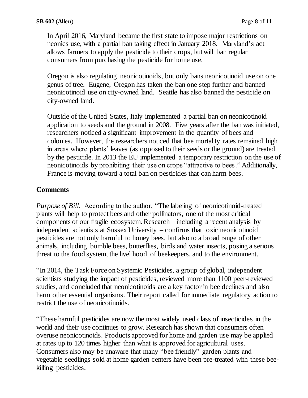In April 2016, [Maryland](http://thinkprogress.org/climate/2016/03/18/3761652/maryland-bee-protection-bill/) became the first state to impose major restrictions on neonics use, with a partial ban taking effect in January 2018. Maryland's [act](http://mgaleg.maryland.gov/webmga/frmMain.aspx?pid=billpage&stab=01&id=sb0198&tab=subject3&ys=2016RS) allows farmers to apply the pesticide to their crops, but will ban regular consumers from purchasing the pesticide for home use.

[Oregon](https://www.nurserymag.com/article/oregon-bans-neonic-linden-trees/) is also regulating neonicotinoids, but only bans neonicotinoid use on one genus of tree. [Eugene,](http://beyondpesticides.org/dailynewsblog/2014/03/community-passes-resolution-banning-neonicotinoids/) Oregon has taken the ban one step further and banned neonicotinoid use on city-owned land. [Seattle](http://council.seattle.gov/2014/09/25/council-bans-neonicotinoid-pesticides-on-city-land-2/) has also banned the pesticide on city-owned land.

Outside of the United States, [Italy](http://www.guelphmercury.com/news-story/5795639-italy-s-ban-on-neonicotinoids-effective-u-of-g-conference-told/) implemented a partial ban on neonicotinoid application to seeds and the ground in 2008. Five years after the ban was initiated, [researchers](http://www.youris.com/Environment/Bees/Marco_Lodesani_Lessons_From_The_Italian_Ban_On_Pesticides.kl) noticed a significant improvement in the quantity of bees and colonies. However, the researchers noticed that bee mortality rates remained high in areas where plants' leaves (as opposed to their seeds or the ground) are treated by the pesticide. In 2013 the [EU](http://eur-lex.europa.eu/LexUriServ/LexUriServ.do?uri=OJ:L:2013:139:0012:0026:EN:PDF) implemented a temporary restriction on the use of neonicotinoids by prohibiting their use on crops "attractive to bees." Additionally, [France](http://www.reuters.com/article/us-france-pesticides-idUSKCN0WK1KL) is moving toward a total ban on pesticides that can harm bees.

### **Comments**

*Purpose of Bill.* According to the author, "The labeling of neonicotinoid-treated plants will help to protect bees and other pollinators, one of the most critical components of our fragile ecosystem. Research – including a recent analysis by independent scientists at Sussex University – confirms that toxic neonicotinoid pesticides are not only harmful to honey bees, but also to a broad range of other animals, including bumble bees, butterflies, birds and water insects, posing a serious threat to the food system, the livelihood of beekeepers, and to the environment.

"In 2014, the Task Force on Systemic Pesticides, a group of global, independent scientists studying the impact of pesticides, reviewed more than 1100 peer-reviewed studies, and concluded that neonicotinoids are a key factor in bee declines and also harm other essential organisms. Their report called for immediate regulatory action to restrict the use of neonicotinoids.

"These harmful pesticides are now the most widely used class of insecticides in the world and their use continues to grow. Research has shown that consumers often overuse neonicotinoids. Products approved for home and garden use may be applied at rates up to 120 times higher than what is approved for agricultural uses. Consumers also may be unaware that many "bee friendly" garden plants and vegetable seedlings sold at home garden centers have been pre-treated with these beekilling pesticides.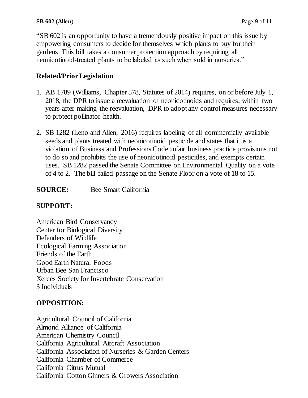"SB 602 is an opportunity to have a tremendously positive impact on this issue by empowering consumers to decide for themselves which plants to buy for their gardens. This bill takes a consumer protection approach by requiring all neonicotinoid-treated plants to be labeled as such when sold in nurseries."

## **Related/Prior Legislation**

- 1. AB 1789 (Williams, Chapter 578, Statutes of 2014) requires, on or before July 1, 2018, the DPR to issue a reevaluation of neonicotinoids and requires, within two years after making the reevaluation, DPR to adopt any control measures necessary to protect pollinator health.
- 2. SB 1282 (Leno and Allen, 2016) requires labeling of all commercially available seeds and plants treated with neonicotinoid pesticide and states that it is a violation of Business and Professions Code unfair business practice provisions not to do so and prohibits the use of neonicotinoid pesticides, and exempts certain uses. SB 1282 passed the Senate Committee on Environmental Quality on a vote of 4 to 2. The bill failed passage on the Senate Floor on a vote of 18 to 15.
- **SOURCE:** Bee Smart California

### **SUPPORT:**

American Bird Conservancy Center for Biological Diversity Defenders of Wildlife Ecological Farming Association Friends of the Earth Good Earth Natural Foods Urban Bee San Francisco Xerces Society for Invertebrate Conservation 3 Individuals

### **OPPOSITION:**

Agricultural Council of California Almond Alliance of California American Chemistry Council California Agricultural Aircraft Association California Association of Nurseries & Garden Centers California Chamber of Commerce California Citrus Mutual California Cotton Ginners & Growers Association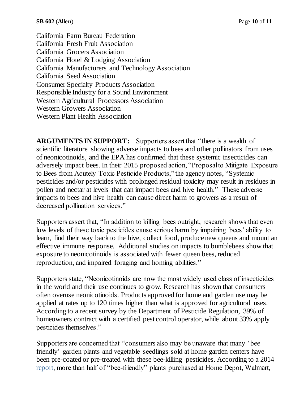California Farm Bureau Federation California Fresh Fruit Association California Grocers Association California Hotel & Lodging Association California Manufacturers and Technology Association California Seed Association Consumer Specialty Products Association Responsible Industry for a Sound Environment Western Agricultural Processors Association Western Growers Association Western Plant Health Association

**ARGUMENTS IN SUPPORT:** Supporters assert that "there is a wealth of scientific literature showing adverse impacts to bees and other pollinators from uses of neonicotinoids, and the EPA has confirmed that these systemic insecticides can adversely impact bees. In their 2015 proposed action, "Proposal to Mitigate Exposure to Bees from Acutely Toxic Pesticide Products," the agency notes, "Systemic pesticides and/or pesticides with prolonged residual toxicity may result in residues in pollen and nectar at levels that can impact bees and hive health." These adverse impacts to bees and hive health can cause direct harm to growers as a result of decreased pollination services."

Supporters assert that, "In addition to killing bees outright, research shows that even low levels of these toxic pesticides cause serious harm by impairing bees' ability to learn, find their way back to the hive, collect food, produce new queens and mount an effective immune response. Additional studies on impacts to bumblebees show that exposure to neonicotinoids is associated with fewer queen bees, reduced reproduction, and impaired foraging and homing abilities."

Supporters state, "Neonicotinoids are now the most widely used class of insecticides in the world and their use continues to grow. Research has shown that consumers often overuse neonicotinoids. Products approved for home and garden use may be applied at rates up to 120 times higher than what is approved for agricultural uses. According to a recent survey by the Department of Pesticide Regulation, 39% of homeowners contract with a certified pest control operator, while about 33% apply pesticides themselves."

Supporters are concerned that "consumers also may be unaware that many 'bee friendly' garden plants and vegetable seedlings sold at home garden centers have been pre-coated or pre-treated with these bee-killing pesticides. According to a 2014 [report,](http://www.foe.org/projects/food-and-technology/beeaction) more than half of "bee-friendly" plants purchased at Home Depot, Walmart,